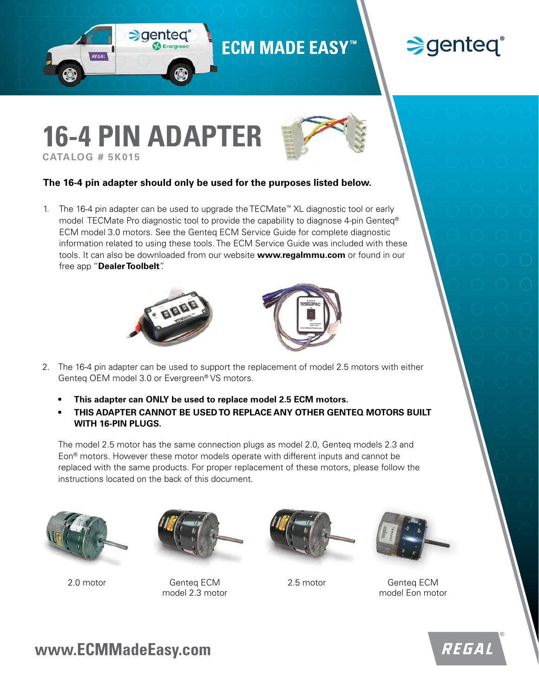### **ECM MADE EASY™**

# **Sgenteq®**

### **16-4 PIN ADAPTER CATALOG # 5K015**

genteg<sup>®</sup>

REGAL



### **The 16-4 pin adapter should only be used for the purposes listed below.**

1. The 16-4 pin adapter can be used to upgrade the TECMate™ XL diagnostic tool or early model TECMate Pro diagnostic tool to provide the capability to diagnose 4-pin Genteq<sup>®</sup> ECM model 3.0 motors. See the Genteq ECM Service Guide for complete diagnostic information related to using these tools. The ECM Service Guide was included with these tools. It can also be downloaded from our website **www.regalmmu.com** or found in our free app "**Dealer Toolbelt**".





- 2. The 16-4 pin adapter can be used to support the replacement of model 2.5 motors with either Genteq OEM model 3.0 or Evergreen® VS motors.
	- **This adapter can ONLY be used to replace model 2.5 ECM motors.**
	- **THIS ADAPTER CANNOT BE USED TO REPLACE ANY OTHER GENTEQ MOTORS BUILT WITH 16-PIN PLUGS.**

The model 2.5 motor has the same connection plugs as model 2.0, Genteq models 2.3 and Eon® motors. However these motor models operate with different inputs and cannot be replaced with the same products. For proper replacement of these motors, please follow the instructions located on the back of this document.





2.0 motor Genteq ECM model 2.3 motor





2.5 motor Genteq ECM model Eon motor

# **www.ECMMadeEasy.com**

REGAL